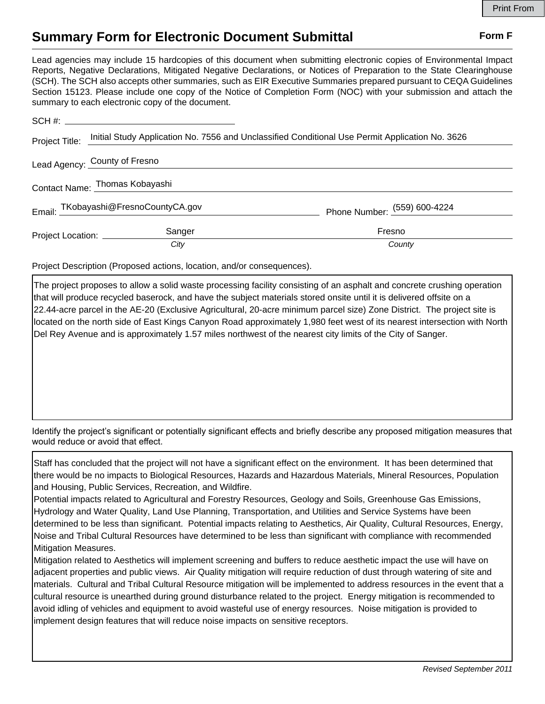## **Summary Form for Electronic Document Submittal Form F Form F**

Lead agencies may include 15 hardcopies of this document when submitting electronic copies of Environmental Impact Reports, Negative Declarations, Mitigated Negative Declarations, or Notices of Preparation to the State Clearinghouse (SCH). The SCH also accepts other summaries, such as EIR Executive Summaries prepared pursuant to CEQA Guidelines Section 15123. Please include one copy of the Notice of Completion Form (NOC) with your submission and attach the summary to each electronic copy of the document.

| Project Title:                 | Initial Study Application No. 7556 and Unclassified Conditional Use Permit Application No. 3626 |                              |
|--------------------------------|-------------------------------------------------------------------------------------------------|------------------------------|
| Lead Agency: County of Fresno  |                                                                                                 |                              |
| Contact Name: Thomas Kobayashi |                                                                                                 |                              |
|                                | Email: TKobayashi@FresnoCountyCA.gov                                                            | Phone Number: (559) 600-4224 |
| Project Location: __________   | Sanger                                                                                          | Fresno                       |
|                                | City                                                                                            | County                       |

Project Description (Proposed actions, location, and/or consequences).

The project proposes to allow a solid waste processing facility consisting of an asphalt and concrete crushing operation that will produce recycled baserock, and have the subject materials stored onsite until it is delivered offsite on a 22.44-acre parcel in the AE-20 (Exclusive Agricultural, 20-acre minimum parcel size) Zone District. The project site is located on the north side of East Kings Canyon Road approximately 1,980 feet west of its nearest intersection with North Del Rey Avenue and is approximately 1.57 miles northwest of the nearest city limits of the City of Sanger.

Identify the project's significant or potentially significant effects and briefly describe any proposed mitigation measures that would reduce or avoid that effect.

Staff has concluded that the project will not have a significant effect on the environment. It has been determined that there would be no impacts to Biological Resources, Hazards and Hazardous Materials, Mineral Resources, Population and Housing, Public Services, Recreation, and Wildfire.

Potential impacts related to Agricultural and Forestry Resources, Geology and Soils, Greenhouse Gas Emissions, Hydrology and Water Quality, Land Use Planning, Transportation, and Utilities and Service Systems have been determined to be less than significant. Potential impacts relating to Aesthetics, Air Quality, Cultural Resources, Energy, Noise and Tribal Cultural Resources have determined to be less than significant with compliance with recommended Mitigation Measures.

Mitigation related to Aesthetics will implement screening and buffers to reduce aesthetic impact the use will have on adjacent properties and public views. Air Quality mitigation will require reduction of dust through watering of site and materials. Cultural and Tribal Cultural Resource mitigation will be implemented to address resources in the event that a cultural resource is unearthed during ground disturbance related to the project. Energy mitigation is recommended to avoid idling of vehicles and equipment to avoid wasteful use of energy resources. Noise mitigation is provided to implement design features that will reduce noise impacts on sensitive receptors.